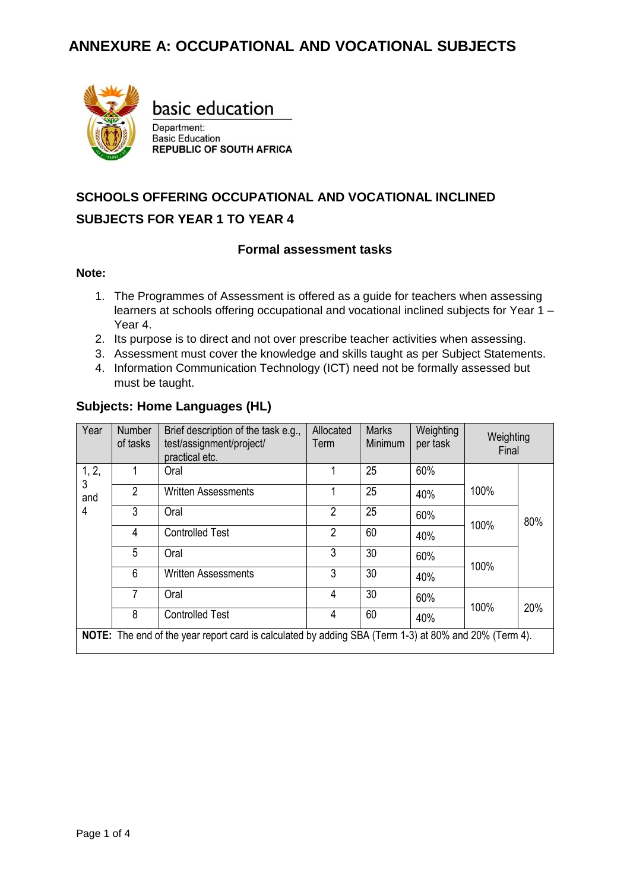

basic education

Department: **Basic Education REPUBLIC OF SOUTH AFRICA** 

# **SCHOOLS OFFERING OCCUPATIONAL AND VOCATIONAL INCLINED SUBJECTS FOR YEAR 1 TO YEAR 4**

#### **Formal assessment tasks**

#### **Note:**

- 1. The Programmes of Assessment is offered as a guide for teachers when assessing learners at schools offering occupational and vocational inclined subjects for Year 1 – Year 4.
- 2. Its purpose is to direct and not over prescribe teacher activities when assessing.
- 3. Assessment must cover the knowledge and skills taught as per Subject Statements.
- 4. Information Communication Technology (ICT) need not be formally assessed but must be taught.

#### **Subjects: Home Languages (HL)**

| Year       | <b>Number</b><br>of tasks                                                                             | Brief description of the task e.g.,<br>test/assignment/project/<br>practical etc. | Allocated<br><b>Term</b> | <b>Marks</b><br>Minimum | Weighting<br>per task | Weighting<br>Final |     |  |
|------------|-------------------------------------------------------------------------------------------------------|-----------------------------------------------------------------------------------|--------------------------|-------------------------|-----------------------|--------------------|-----|--|
| 1, 2,<br>3 |                                                                                                       | Oral                                                                              |                          | 25                      | 60%                   |                    |     |  |
| and        | 2                                                                                                     | <b>Written Assessments</b>                                                        |                          | 25                      | 40%                   | 100%               |     |  |
| 4          | 3                                                                                                     | Oral                                                                              | 2                        | 25                      | 60%                   |                    | 80% |  |
|            | 4                                                                                                     | <b>Controlled Test</b>                                                            | $\overline{2}$           | 60                      | 40%                   | 100%               |     |  |
|            | 5                                                                                                     | Oral                                                                              | 3                        | 30                      | 60%                   |                    |     |  |
|            | 6                                                                                                     | <b>Written Assessments</b>                                                        | 3                        | 30                      | 40%                   | 100%               |     |  |
|            | 7                                                                                                     | Oral                                                                              | 4                        | 30                      | 60%                   |                    |     |  |
|            | 8                                                                                                     | <b>Controlled Test</b>                                                            | 4                        | 60                      | 40%                   | 100%               | 20% |  |
|            | NOTE: The end of the year report card is calculated by adding SBA (Term 1-3) at 80% and 20% (Term 4). |                                                                                   |                          |                         |                       |                    |     |  |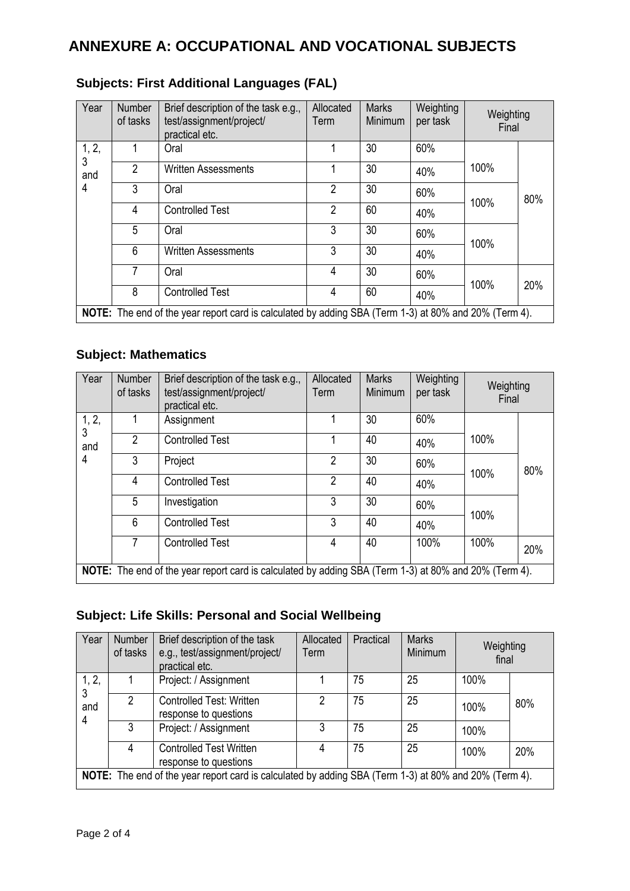## **ANNEXURE A: OCCUPATIONAL AND VOCATIONAL SUBJECTS**

| Year     | <b>Number</b><br>of tasks | Brief description of the task e.g.,<br>test/assignment/project/<br>practical etc.                     | Allocated<br>Term | <b>Marks</b><br><b>Minimum</b> | Weighting<br>per task | Weighting<br>Final |     |
|----------|---------------------------|-------------------------------------------------------------------------------------------------------|-------------------|--------------------------------|-----------------------|--------------------|-----|
| 1, 2,    |                           | Oral                                                                                                  |                   | 30                             | 60%                   |                    |     |
| 3<br>and | $\overline{2}$            | <b>Written Assessments</b>                                                                            |                   | 30                             | 40%                   | 100%               |     |
| 4        | 3                         | Oral                                                                                                  | $\overline{2}$    | 30                             | 60%                   |                    | 80% |
|          | 4                         | <b>Controlled Test</b>                                                                                | 2                 | 60                             | 40%                   | 100%               |     |
|          | 5                         | Oral                                                                                                  | 3                 | 30                             | 60%                   |                    |     |
|          | 6                         | <b>Written Assessments</b>                                                                            | 3                 | 30                             | 40%                   | 100%               |     |
|          | 7                         | Oral                                                                                                  | 4                 | 30                             | 60%                   |                    |     |
|          | 8                         | <b>Controlled Test</b>                                                                                | 4                 | 60                             | 40%                   | 100%               | 20% |
|          |                           | NOTE: The end of the year report card is calculated by adding SBA (Term 1-3) at 80% and 20% (Term 4). |                   |                                |                       |                    |     |

## **Subjects: First Additional Languages (FAL)**

#### **Subject: Mathematics**

| Year       | <b>Number</b><br>of tasks                                                                             | Brief description of the task e.g.,<br>test/assignment/project/<br>practical etc. | Allocated<br>Term | <b>Marks</b><br><b>Minimum</b> | Weighting<br>per task | Weighting<br>Final |     |  |
|------------|-------------------------------------------------------------------------------------------------------|-----------------------------------------------------------------------------------|-------------------|--------------------------------|-----------------------|--------------------|-----|--|
| 1, 2,<br>3 |                                                                                                       | Assignment                                                                        |                   | 30                             | 60%                   |                    |     |  |
| and        | $\overline{2}$                                                                                        | <b>Controlled Test</b>                                                            |                   | 40                             | 40%                   | 100%               |     |  |
| 4          | 3                                                                                                     | Project                                                                           | $\overline{2}$    | 30                             | 60%                   |                    | 80% |  |
|            | $\overline{4}$                                                                                        | <b>Controlled Test</b>                                                            | $\overline{2}$    | 40                             | 40%                   | 100%               |     |  |
|            | 5                                                                                                     | Investigation                                                                     | 3                 | 30                             | 60%                   | 100%               |     |  |
|            | 6                                                                                                     | <b>Controlled Test</b>                                                            | 3                 | 40                             | 40%                   |                    |     |  |
|            | 7                                                                                                     | <b>Controlled Test</b>                                                            | 4                 | 40                             | 100%                  | 100%               | 20% |  |
|            | NOTE: The end of the year report card is calculated by adding SBA (Term 1-3) at 80% and 20% (Term 4). |                                                                                   |                   |                                |                       |                    |     |  |

### **Subject: Life Skills: Personal and Social Wellbeing**

| Year       | Number<br>of tasks                                                                                    | Brief description of the task<br>e.g., test/assignment/project/<br>practical etc. | Allocated<br>Term | Practical | <b>Marks</b><br>Minimum | Weighting<br>final |     |  |  |
|------------|-------------------------------------------------------------------------------------------------------|-----------------------------------------------------------------------------------|-------------------|-----------|-------------------------|--------------------|-----|--|--|
| 1, 2,<br>3 |                                                                                                       | Project: / Assignment                                                             |                   | 75        | 25                      | 100%               |     |  |  |
| and<br>4   | 2                                                                                                     | <b>Controlled Test: Written</b><br>response to questions                          | 2                 | 75        | 25                      | 100%               | 80% |  |  |
|            | 3                                                                                                     | Project: / Assignment                                                             | 3                 | 75        | 25                      | 100%               |     |  |  |
|            | 4                                                                                                     | <b>Controlled Test Written</b><br>response to questions                           | 4                 | 75        | 25                      | 100%               | 20% |  |  |
|            | NOTE: The end of the year report card is calculated by adding SBA (Term 1-3) at 80% and 20% (Term 4). |                                                                                   |                   |           |                         |                    |     |  |  |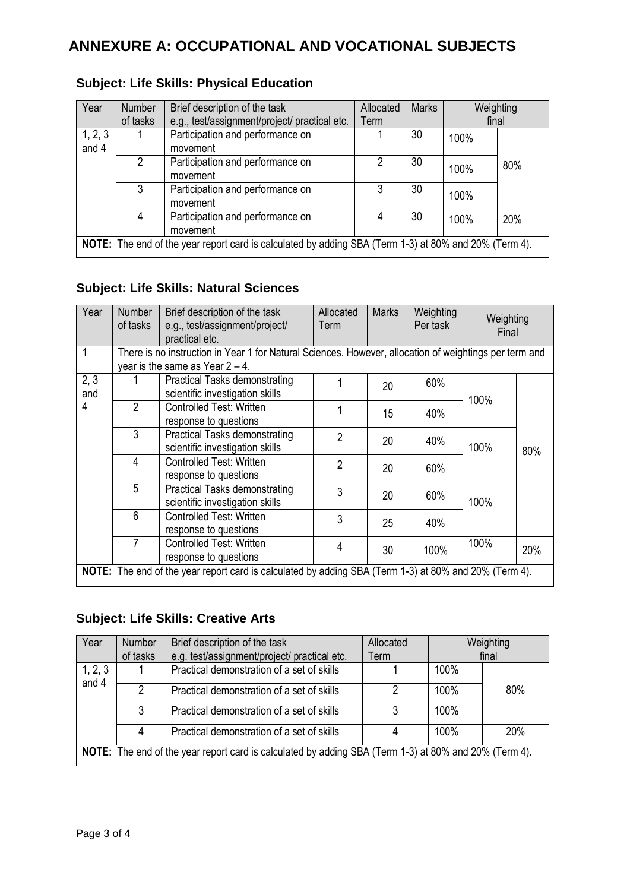## **ANNEXURE A: OCCUPATIONAL AND VOCATIONAL SUBJECTS**

| Year             | Number<br>of tasks                                                                                    | Brief description of the task<br>e.g., test/assignment/project/ practical etc. | Allocated<br>Term | <b>Marks</b> | Weighting<br>final |     |  |
|------------------|-------------------------------------------------------------------------------------------------------|--------------------------------------------------------------------------------|-------------------|--------------|--------------------|-----|--|
| 1, 2, 3<br>and 4 |                                                                                                       | Participation and performance on<br>movement                                   |                   | 30           | 100%               |     |  |
|                  | 2                                                                                                     | Participation and performance on<br>movement                                   | 2                 | 30           | 100%               | 80% |  |
|                  | 3                                                                                                     | Participation and performance on<br>movement                                   | 3                 | 30           | 100%               |     |  |
|                  | 4                                                                                                     | Participation and performance on<br>movement                                   | 4                 | 30           | 100%               | 20% |  |
|                  | NOTE: The end of the year report card is calculated by adding SBA (Term 1-3) at 80% and 20% (Term 4). |                                                                                |                   |              |                    |     |  |

### **Subject: Life Skills: Physical Education**

### **Subject: Life Skills: Natural Sciences**

| Year | Number<br>of tasks | Brief description of the task<br>e.g., test/assignment/project/<br>practical etc.                      | Allocated<br><b>Term</b> | <b>Marks</b> | Weighting<br>Per task | Weighting<br>Final |     |
|------|--------------------|--------------------------------------------------------------------------------------------------------|--------------------------|--------------|-----------------------|--------------------|-----|
| 1    |                    | There is no instruction in Year 1 for Natural Sciences. However, allocation of weightings per term and |                          |              |                       |                    |     |
|      |                    | year is the same as Year $2 - 4$ .                                                                     |                          |              |                       |                    |     |
| 2, 3 |                    | Practical Tasks demonstrating                                                                          |                          | 20           | 60%                   |                    |     |
| and  |                    | scientific investigation skills                                                                        |                          |              |                       | 100%               |     |
| 4    | 2                  | <b>Controlled Test: Written</b>                                                                        |                          | 15           |                       |                    |     |
|      |                    | response to questions                                                                                  |                          |              | 40%                   |                    |     |
|      | 3                  | <b>Practical Tasks demonstrating</b>                                                                   | $\overline{2}$           |              | 20<br>40%             |                    |     |
|      |                    | scientific investigation skills                                                                        |                          |              |                       | 100%               | 80% |
|      | 4                  | <b>Controlled Test: Written</b>                                                                        | $\overline{2}$           | 20           | 60%                   |                    |     |
|      |                    | response to questions                                                                                  |                          |              |                       |                    |     |
|      | 5                  | <b>Practical Tasks demonstrating</b>                                                                   | 3                        |              |                       |                    |     |
|      |                    | scientific investigation skills                                                                        |                          | 20           | 60%                   | 100%               |     |
|      | 6                  | <b>Controlled Test: Written</b>                                                                        | 3                        | 25           | 40%                   |                    |     |
|      |                    | response to questions                                                                                  |                          |              |                       |                    |     |
|      | 7                  | <b>Controlled Test: Written</b>                                                                        | 4                        |              |                       | 100%               |     |
|      |                    | response to questions                                                                                  |                          | 30           | 100%                  |                    | 20% |
|      |                    | NOTE: The end of the year report card is calculated by adding SBA (Term 1-3) at 80% and 20% (Term 4).  |                          |              |                       |                    |     |

#### **Subject: Life Skills: Creative Arts**

| Year                                                                                                  | Number        | Brief description of the task                | Allocated |      | Weighting  |  |
|-------------------------------------------------------------------------------------------------------|---------------|----------------------------------------------|-----------|------|------------|--|
|                                                                                                       | of tasks      | e.g. test/assignment/project/ practical etc. | Term      |      | final      |  |
| 1, 2, 3<br>and 4                                                                                      |               | Practical demonstration of a set of skills   |           | 100% |            |  |
|                                                                                                       | $\mathcal{P}$ | Practical demonstration of a set of skills   | 2         | 100% | 80%        |  |
|                                                                                                       | 3             | Practical demonstration of a set of skills   | 3         | 100% |            |  |
|                                                                                                       | 4             | Practical demonstration of a set of skills   |           | 100% | <b>20%</b> |  |
| NOTE: The end of the year report card is calculated by adding SBA (Term 1-3) at 80% and 20% (Term 4). |               |                                              |           |      |            |  |